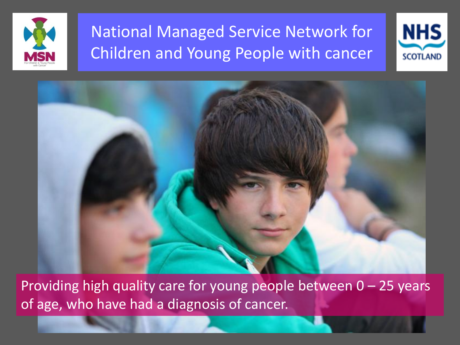





Providing high quality care for young people between  $0 - 25$  years of age, who have had a diagnosis of cancer.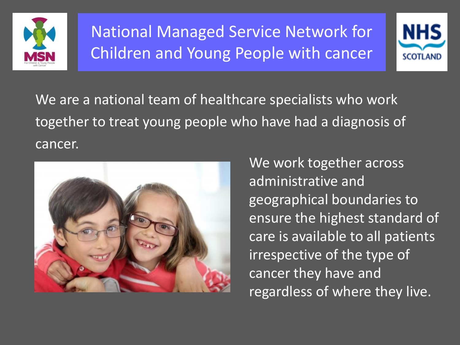



We are a national team of healthcare specialists who work together to treat young people who have had a diagnosis of cancer.



We work together across administrative and geographical boundaries to ensure the highest standard of care is available to all patients irrespective of the type of cancer they have and regardless of where they live.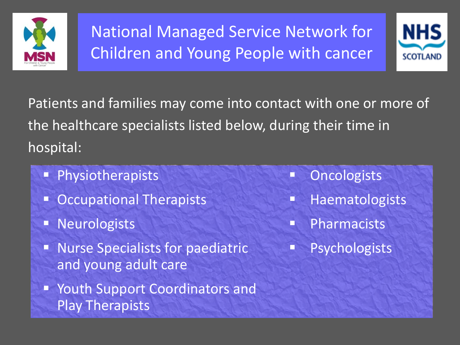



Patients and families may come into contact with one or more of the healthcare specialists listed below, during their time in hospital:

- **Physiotherapists**
- Occupational Therapists
- **Neurologists**
- **Nurse Specialists for paediatric** and young adult care
- Youth Support Coordinators and Play Therapists
- **CONCOLOGISTS**
- **Haematologists**
- **Pharmacists**
- **Psychologists**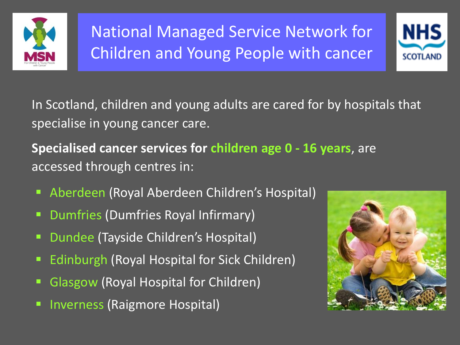



In Scotland, children and young adults are cared for by hospitals that specialise in young cancer care.

**Specialised cancer services for children age 0 - 16 years**, are accessed through centres in:

- Aberdeen (Royal Aberdeen Children's Hospital)
- Dumfries (Dumfries Royal Infirmary)
- **Dundee (Tayside Children's Hospital)**
- Edinburgh (Royal Hospital for Sick Children)
- Glasgow (Royal Hospital for Children)
- Inverness (Raigmore Hospital)

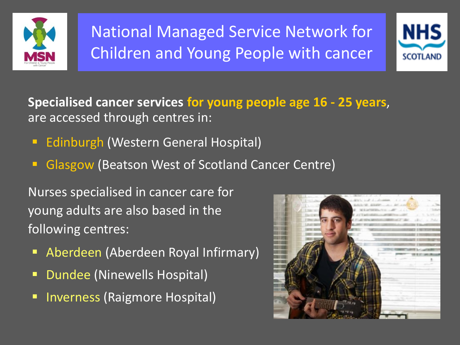



**Specialised cancer services for young people age 16 - 25 years**, are accessed through centres in:

- **Edinburgh (Western General Hospital)**
- Glasgow (Beatson West of Scotland Cancer Centre)

Nurses specialised in cancer care for young adults are also based in the following centres:

- Aberdeen (Aberdeen Royal Infirmary)
- **Dundee (Ninewells Hospital)**
- **F** Inverness (Raigmore Hospital)

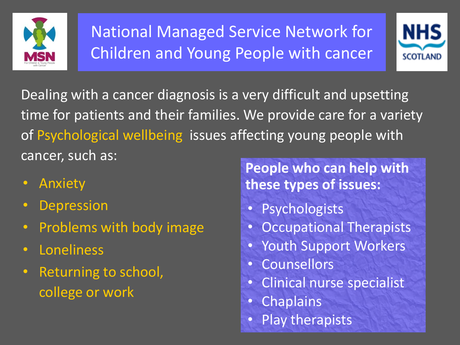



Dealing with a cancer diagnosis is a very difficult and upsetting time for patients and their families. We provide care for a variety of Psychological wellbeing issues affecting young people with cancer, such as:

- Anxiety
- Depression
- Problems with body image
- Loneliness
- Returning to school, college or work

**People who can help with these types of issues:**

- Psychologists
- Occupational Therapists
- Youth Support Workers
- Counsellors
- Clinical nurse specialist
- Chaplains
- Play therapists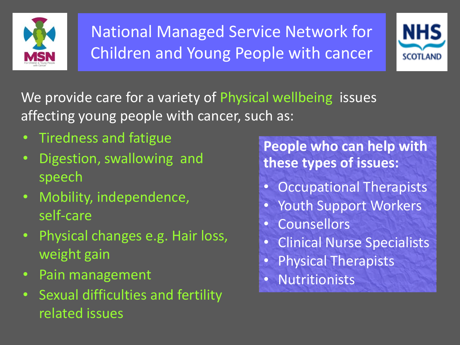



We provide care for a variety of Physical wellbeing issues affecting young people with cancer, such as:

- Tiredness and fatigue
- Digestion, swallowing and speech
- Mobility, independence, self-care
- Physical changes e.g. Hair loss, weight gain
- Pain management
- Sexual difficulties and fertility related issues

**People who can help with these types of issues:**

- Occupational Therapists
- Youth Support Workers
- Counsellors
- Clinical Nurse Specialists
- Physical Therapists
- Nutritionists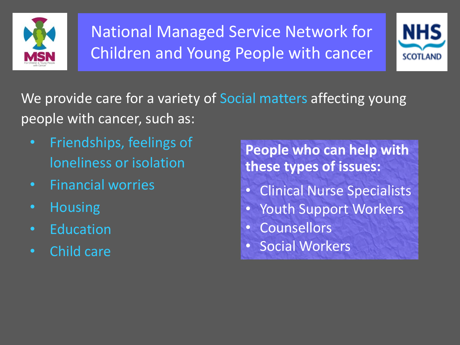



We provide care for a variety of Social matters affecting young people with cancer, such as:

- Friendships, feelings of loneliness or isolation
- Financial worries
- Housing
- Education
- Child care

**People who can help with these types of issues:**

- Clinical Nurse Specialists
- Youth Support Workers
- Counsellors
- Social Workers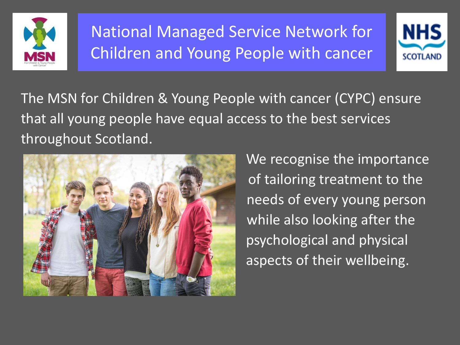



The MSN for Children & Young People with cancer (CYPC) ensure that all young people have equal access to the best services throughout Scotland.



 We recognise the importance of tailoring treatment to the needs of every young person while also looking after the psychological and physical aspects of their wellbeing.